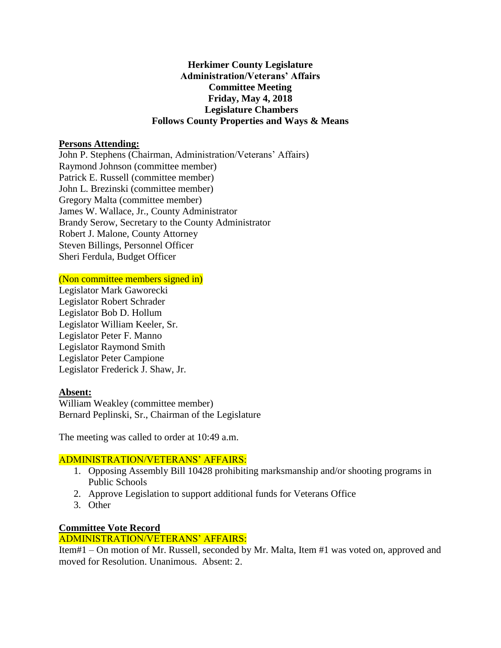## **Herkimer County Legislature Administration/Veterans' Affairs Committee Meeting Friday, May 4, 2018 Legislature Chambers Follows County Properties and Ways & Means**

#### **Persons Attending:**

John P. Stephens (Chairman, Administration/Veterans' Affairs) Raymond Johnson (committee member) Patrick E. Russell (committee member) John L. Brezinski (committee member) Gregory Malta (committee member) James W. Wallace, Jr., County Administrator Brandy Serow, Secretary to the County Administrator Robert J. Malone, County Attorney Steven Billings, Personnel Officer Sheri Ferdula, Budget Officer

(Non committee members signed in)

Legislator Mark Gaworecki Legislator Robert Schrader Legislator Bob D. Hollum Legislator William Keeler, Sr. Legislator Peter F. Manno Legislator Raymond Smith Legislator Peter Campione Legislator Frederick J. Shaw, Jr.

### **Absent:**

William Weakley (committee member) Bernard Peplinski, Sr., Chairman of the Legislature

The meeting was called to order at 10:49 a.m.

### ADMINISTRATION/VETERANS' AFFAIRS:

- 1. Opposing Assembly Bill 10428 prohibiting marksmanship and/or shooting programs in Public Schools
- 2. Approve Legislation to support additional funds for Veterans Office
- 3. Other

# **Committee Vote Record**

### ADMINISTRATION/VETERANS' AFFAIRS:

Item#1 – On motion of Mr. Russell, seconded by Mr. Malta, Item #1 was voted on, approved and moved for Resolution. Unanimous. Absent: 2.